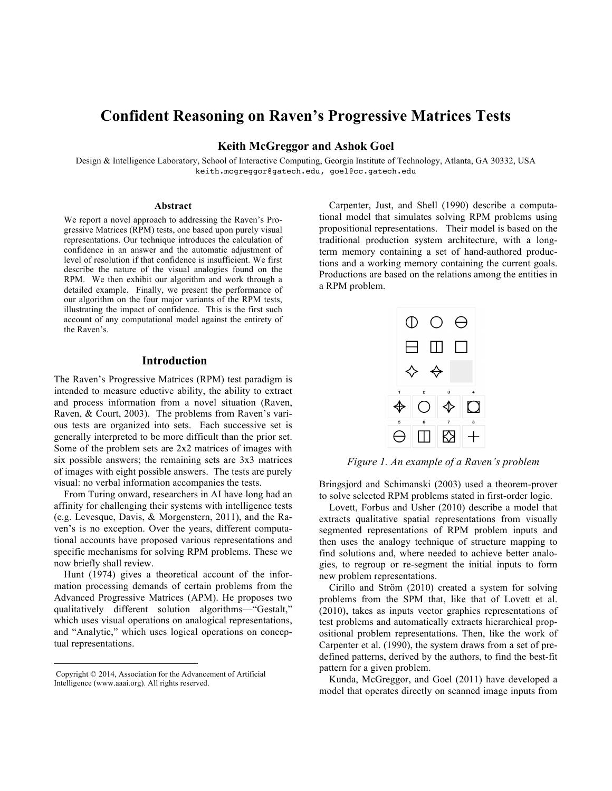# **Confident Reasoning on Raven's Progressive Matrices Tests**

**Keith McGreggor and Ashok Goel**

Design & Intelligence Laboratory, School of Interactive Computing, Georgia Institute of Technology, Atlanta, GA 30332, USA keith.mcgreggor@gatech.edu, goel@cc.gatech.edu

#### **Abstract**

We report a novel approach to addressing the Raven's Progressive Matrices (RPM) tests, one based upon purely visual representations. Our technique introduces the calculation of confidence in an answer and the automatic adjustment of level of resolution if that confidence is insufficient. We first describe the nature of the visual analogies found on the RPM. We then exhibit our algorithm and work through a detailed example. Finally, we present the performance of our algorithm on the four major variants of the RPM tests, illustrating the impact of confidence. This is the first such account of any computational model against the entirety of the Raven's.

### **Introduction**

The Raven's Progressive Matrices (RPM) test paradigm is intended to measure eductive ability, the ability to extract and process information from a novel situation (Raven, Raven, & Court, 2003). The problems from Raven's various tests are organized into sets. Each successive set is generally interpreted to be more difficult than the prior set. Some of the problem sets are 2x2 matrices of images with six possible answers; the remaining sets are 3x3 matrices of images with eight possible answers. The tests are purely visual: no verbal information accompanies the tests.

From Turing onward, researchers in AI have long had an affinity for challenging their systems with intelligence tests (e.g. Levesque, Davis, & Morgenstern, 2011), and the Raven's is no exception. Over the years, different computational accounts have proposed various representations and specific mechanisms for solving RPM problems. These we now briefly shall review.

Hunt (1974) gives a theoretical account of the information processing demands of certain problems from the Advanced Progressive Matrices (APM). He proposes two qualitatively different solution algorithms—"Gestalt," which uses visual operations on analogical representations, and "Analytic," which uses logical operations on conceptual representations.

Carpenter, Just, and Shell (1990) describe a computational model that simulates solving RPM problems using propositional representations. Their model is based on the traditional production system architecture, with a longterm memory containing a set of hand-authored productions and a working memory containing the current goals. Productions are based on the relations among the entities in a RPM problem.



*Figure 1. An example of a Raven's problem*

Bringsjord and Schimanski (2003) used a theorem-prover to solve selected RPM problems stated in first-order logic.

Lovett, Forbus and Usher (2010) describe a model that extracts qualitative spatial representations from visually segmented representations of RPM problem inputs and then uses the analogy technique of structure mapping to find solutions and, where needed to achieve better analogies, to regroup or re-segment the initial inputs to form new problem representations.

Cirillo and Ström (2010) created a system for solving problems from the SPM that, like that of Lovett et al. (2010), takes as inputs vector graphics representations of test problems and automatically extracts hierarchical propositional problem representations. Then, like the work of Carpenter et al. (1990), the system draws from a set of predefined patterns, derived by the authors, to find the best-fit pattern for a given problem.

Kunda, McGreggor, and Goel (2011) have developed a model that operates directly on scanned image inputs from

Copyright © 2014, Association for the Advancement of Artificial Intelligence (www.aaai.org). All rights reserved.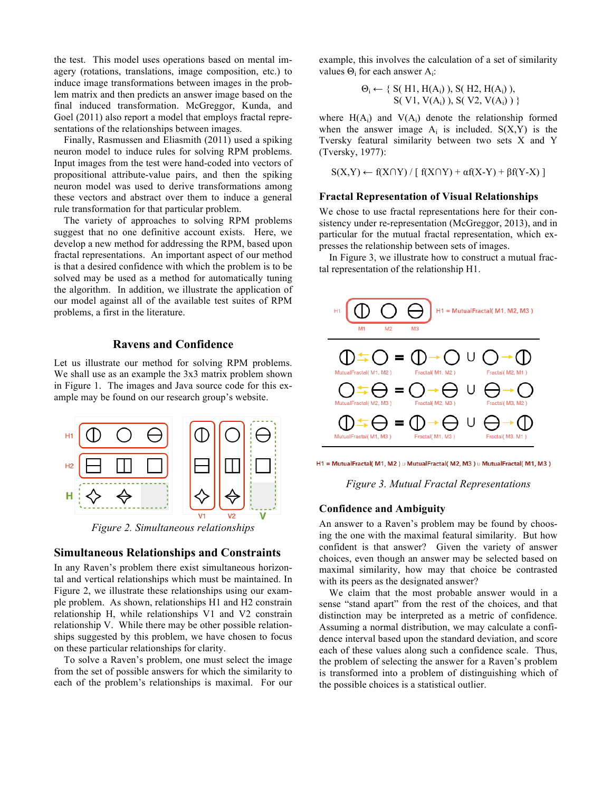the test. This model uses operations based on mental imagery (rotations, translations, image composition, etc.) to induce image transformations between images in the problem matrix and then predicts an answer image based on the final induced transformation. McGreggor, Kunda, and Goel (2011) also report a model that employs fractal representations of the relationships between images.

Finally, Rasmussen and Eliasmith (2011) used a spiking neuron model to induce rules for solving RPM problems. Input images from the test were hand-coded into vectors of propositional attribute-value pairs, and then the spiking neuron model was used to derive transformations among these vectors and abstract over them to induce a general rule transformation for that particular problem.

The variety of approaches to solving RPM problems suggest that no one definitive account exists. Here, we develop a new method for addressing the RPM, based upon fractal representations. An important aspect of our method is that a desired confidence with which the problem is to be solved may be used as a method for automatically tuning the algorithm. In addition, we illustrate the application of our model against all of the available test suites of RPM problems, a first in the literature.

### **Ravens and Confidence**

Let us illustrate our method for solving RPM problems. We shall use as an example the 3x3 matrix problem shown in Figure 1. The images and Java source code for this example may be found on our research group's website.



*Figure 2. Simultaneous relationships*

## **Simultaneous Relationships and Constraints**

In any Raven's problem there exist simultaneous horizontal and vertical relationships which must be maintained. In Figure 2, we illustrate these relationships using our example problem. As shown, relationships H1 and H2 constrain relationship H, while relationships V1 and V2 constrain relationship V. While there may be other possible relationships suggested by this problem, we have chosen to focus on these particular relationships for clarity.

To solve a Raven's problem, one must select the image from the set of possible answers for which the similarity to each of the problem's relationships is maximal. For our example, this involves the calculation of a set of similarity values  $\Theta_i$  for each answer A<sub>i</sub>:

$$
\Theta_i \leftarrow \{ S(H1, H(A_i)), S(H2, H(A_i)), \\ S(V1, V(A_i)), S(V2, V(A_i)) \}
$$

where  $H(A_i)$  and  $V(A_i)$  denote the relationship formed when the answer image  $A_i$  is included.  $S(X, Y)$  is the Tversky featural similarity between two sets X and Y (Tversky, 1977):

$$
S(X,Y) \leftarrow f(X \cap Y) / [f(X \cap Y) + \alpha f(X-Y) + \beta f(Y-X)]
$$

### **Fractal Representation of Visual Relationships**

We chose to use fractal representations here for their consistency under re-representation (McGreggor, 2013), and in particular for the mutual fractal representation, which expresses the relationship between sets of images.

In Figure 3, we illustrate how to construct a mutual fractal representation of the relationship H1.



H1 = MutualFractal( M1, M2) u MutualFractal( M2, M3) u MutualFractal( M1, M3)

*Figure 3. Mutual Fractal Representations*

#### **Confidence and Ambiguity**

An answer to a Raven's problem may be found by choosing the one with the maximal featural similarity. But how confident is that answer? Given the variety of answer choices, even though an answer may be selected based on maximal similarity, how may that choice be contrasted with its peers as the designated answer?

We claim that the most probable answer would in a sense "stand apart" from the rest of the choices, and that distinction may be interpreted as a metric of confidence. Assuming a normal distribution, we may calculate a confidence interval based upon the standard deviation, and score each of these values along such a confidence scale. Thus, the problem of selecting the answer for a Raven's problem is transformed into a problem of distinguishing which of the possible choices is a statistical outlier.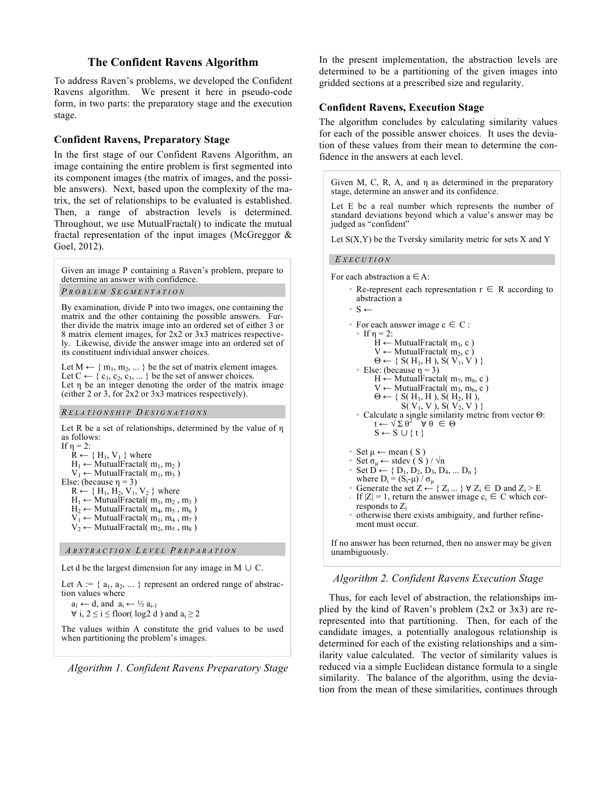# **The Confident Ravens Algorithm**

To address Raven's problems, we developed the Confident Ravens algorithm. We present it here in pseudo-code form, in two parts: the preparatory stage and the execution stage.

# **Confident Ravens, Preparatory Stage**

In the first stage of our Confident Ravens Algorithm, an image containing the entire problem is first segmented into its component images (the matrix of images, and the possible answers). Next, based upon the complexity of the matrix, the set of relationships to be evaluated is established. Then, a range of abstraction levels is determined. Throughout, we use MutualFractal() to indicate the mutual fractal representation of the input images (McGreggor & Goel, 2012).

Given an image P containing a Raven's problem, prepare to determine an answer with confidence.

#### *P ROBLEM S EGMENTATION*

By examination, divide P into two images, one containing the matrix and the other containing the possible answers. Further divide the matrix image into an ordered set of either 3 or 8 matrix element images, for 2x2 or 3x3 matrices respectively. Likewise, divide the answer image into an ordered set of its constituent individual answer choices.

Let  $M \leftarrow \{ m_1, m_2, \dots \}$  be the set of matrix element images. Let  $C \leftarrow \{c_1, c_2, c_3, \dots\}$  be the set of answer choices. Let η be an integer denoting the order of the matrix image (either 2 or 3, for 2x2 or 3x3 matrices respectively).

#### *R ELATIONSHIP D ESIGNATIONS*

Let R be a set of relationships, determined by the value of η as follows: If η = 2:

```
R \leftarrow \{H_1, V_1\} where
     H_1 \leftarrow MutualFractal( m<sub>1</sub>, m<sub>2</sub>)
     V_1 \leftarrow MutualFractal( m<sub>1</sub>, m<sub>3</sub>)
Else: (because \eta = 3)
     R \leftarrow \{H_1, H_2, V_1, V_2\} where
     H_1 \leftarrow MutualFractal( m<sub>1</sub>, m<sub>2</sub>, m<sub>3</sub>)
     H_2 \leftarrow MutualFractal( m<sub>4</sub>, m<sub>5</sub>, m<sub>6</sub>)
     V_1 \leftarrow MutualFractal( m<sub>1</sub>, m<sub>4</sub>, m<sub>7</sub>)
     V_2 \leftarrow MutualFractal( m<sub>2</sub>, m<sub>5</sub>, m<sub>8</sub>)
```
### *A BSTRACTION L EVEL P REPARATION*

Let d be the largest dimension for any image in M  $\cup$  C.

Let  $A := \{ a_1, a_2, \dots \}$  represent an ordered range of abstraction values where

```
a_1 \leftarrow d, and a_i \leftarrow \frac{1}{2} a_{i-1}∀ i, 2 ≤ i ≤ floor(log2 d) and a_i ≥ 2
```
The values within A constitute the grid values to be used when partitioning the problem's images.

*Algorithm 1. Confident Ravens Preparatory Stage*

In the present implementation, the abstraction levels are determined to be a partitioning of the given images into gridded sections at a prescribed size and regularity.

## **Confident Ravens, Execution Stage**

The algorithm concludes by calculating similarity values for each of the possible answer choices. It uses the deviation of these values from their mean to determine the confidence in the answers at each level.

Given M, C, R, A, and η as determined in the preparatory stage, determine an answer and its confidence.

Let E be a real number which represents the number of standard deviations beyond which a value's answer may be judged as "confident"

Let  $S(X, Y)$  be the Tversky similarity metric for sets X and Y

#### *E XECUTION*

For each abstraction  $a \in A$ :

- Re-represent each representation  $r \in R$  according to abstraction a
- S ←

```
• For each answer image c \in C :
   • If \eta = 2:
          H \leftarrow MutualFractal( m<sub>3</sub>, c)
          V \leftarrow MutualFractal( m<sub>2</sub>, c)
          \Theta \leftarrow \{ S(H_1, H), S(V_1, V) \}• Else: (because η = 3)
          H \leftarrow MutualFractal( m<sub>7</sub>, m<sub>8</sub>, c)
          V \leftarrow MutualFractal( m<sub>3</sub>, m<sub>6</sub>, c)
          \Theta \leftarrow \{ S(H_1, H), S(H_2, H),S(V_1, V), S(V_2, V)• Calculate a single similarity metric from vector Θ:
           t \leftarrow \sqrt{\Sigma \theta^2} \forall \theta \in \ThetaS \leftarrow S \cup \{t\}• Set \mu \leftarrow mean (S)
• Set \sigma_{\mu} \leftarrow \text{stdev}(\hat{S}) / \sqrt{n}
```
- Set  $D^{\mu} \leftarrow \{ D_1, D_2, D_3, D_4, ... D_n \}$
- where  $D_i = (S_i \mu) / \sigma_\mu$
- Generate the set  $Z \leftarrow \{ Z_i ... \} \forall Z_i \in D$  and  $Z_i \ge E$
- If  $|Z| = 1$ , return the answer image  $c_i \in C$  which corresponds to  $Z_i$
- otherwise there exists ambiguity, and further refinement must occur.

If no answer has been returned, then no answer may be given unambiguously.

### *Algorithm 2. Confident Ravens Execution Stage*

Thus, for each level of abstraction, the relationships implied by the kind of Raven's problem (2x2 or 3x3) are rerepresented into that partitioning. Then, for each of the candidate images, a potentially analogous relationship is determined for each of the existing relationships and a similarity value calculated. The vector of similarity values is reduced via a simple Euclidean distance formula to a single similarity. The balance of the algorithm, using the deviation from the mean of these similarities, continues through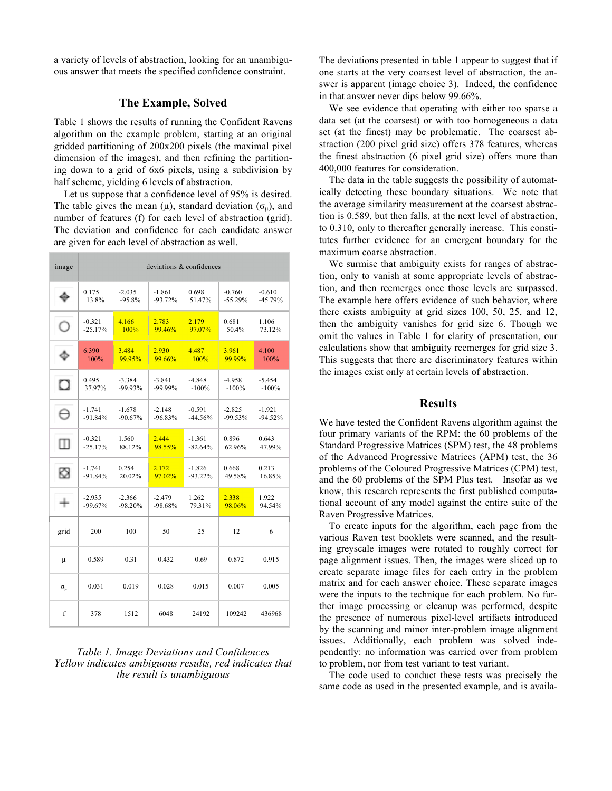a variety of levels of abstraction, looking for an unambiguous answer that meets the specified confidence constraint.

### **The Example, Solved**

Table 1 shows the results of running the Confident Ravens algorithm on the example problem, starting at an original gridded partitioning of 200x200 pixels (the maximal pixel dimension of the images), and then refining the partitioning down to a grid of 6x6 pixels, using a subdivision by half scheme, yielding 6 levels of abstraction.

Let us suppose that a confidence level of 95% is desired. The table gives the mean ( $\mu$ ), standard deviation ( $\sigma_{\mu}$ ), and number of features (f) for each level of abstraction (grid). The deviation and confidence for each candidate answer are given for each level of abstraction as well.

| image          | deviations & confidences |           |            |            |           |           |  |  |  |  |  |
|----------------|--------------------------|-----------|------------|------------|-----------|-----------|--|--|--|--|--|
|                | 0.175                    | $-2.035$  | $-1.861$   | 0.698      | $-0.760$  | $-0.610$  |  |  |  |  |  |
|                | 13.8%                    | $-95.8%$  | $-93.72%$  | 51.47%     | $-55.29%$ | $-45.79%$ |  |  |  |  |  |
|                | $-0.321$                 | 4.166     | 2.783      | 2.179      | 0.681     | 1.106     |  |  |  |  |  |
|                | $-25.17%$                | 100%      | 99.46%     | 97.07%     | 50.4%     | 73.12%    |  |  |  |  |  |
|                | 6.390                    | 3.484     | 2.930      | 4.487      | 3.961     | 4.100     |  |  |  |  |  |
|                | 100%                     | 99.95%    | 99.66%     | 100%       | 99.99%    | 100%      |  |  |  |  |  |
| о              | 0.495                    | $-3.384$  | $-3.841$   | $-4.848$   | $-4.958$  | $-5.454$  |  |  |  |  |  |
|                | 37.97%                   | $-99.93%$ | $-99.99\%$ | $-100%$    | $-100%$   | $-100%$   |  |  |  |  |  |
| Θ              | $-1.741$                 | $-1.678$  | $-2.148$   | $-0.591$   | $-2.825$  | $-1.921$  |  |  |  |  |  |
|                | $-91.84%$                | $-90.67%$ | $-96.83%$  | $-44.56%$  | $-99.53%$ | $-94.52%$ |  |  |  |  |  |
| m              | $-0.321$                 | 1.560     | 2 4 4 4    | $-1.361$   | 0.896     | 0.643     |  |  |  |  |  |
|                | $-25.17%$                | 88.12%    | 98.55%     | $-82.64%$  | 62.96%    | 47.99%    |  |  |  |  |  |
| ⊠              | $-1.741$                 | 0.254     | 2.172      | $-1.826$   | 0.668     | 0.213     |  |  |  |  |  |
|                | $-91.84%$                | 20.02%    | 97.02%     | $-93.22\%$ | 49.58%    | 16.85%    |  |  |  |  |  |
|                | $-2.935$                 | $-2.366$  | $-2.479$   | 1.262      | 2.338     | 1.922     |  |  |  |  |  |
|                | $-99.67%$                | $-98.20%$ | $-98.68%$  | 79.31%     | 98.06%    | 94.54%    |  |  |  |  |  |
| grid           | 200                      | 100       | 50         | 25         | 12        | 6         |  |  |  |  |  |
| μ              | 0.589                    | 0.31      | 0.432      | 0.69       | 0.872     | 0.915     |  |  |  |  |  |
| $\sigma_{\mu}$ | 0.031                    | 0.019     | 0.028      | 0.015      | 0.007     | 0.005     |  |  |  |  |  |
| f              | 378                      | 1512      | 6048       | 24192      | 109242    | 436968    |  |  |  |  |  |

### *Table 1. Image Deviations and Confidences Yellow indicates ambiguous results, red indicates that the result is unambiguous*

The deviations presented in table 1 appear to suggest that if one starts at the very coarsest level of abstraction, the answer is apparent (image choice 3). Indeed, the confidence in that answer never dips below 99.66%.

We see evidence that operating with either too sparse a data set (at the coarsest) or with too homogeneous a data set (at the finest) may be problematic. The coarsest abstraction (200 pixel grid size) offers 378 features, whereas the finest abstraction (6 pixel grid size) offers more than 400,000 features for consideration.

The data in the table suggests the possibility of automatically detecting these boundary situations. We note that the average similarity measurement at the coarsest abstraction is 0.589, but then falls, at the next level of abstraction, to 0.310, only to thereafter generally increase. This constitutes further evidence for an emergent boundary for the maximum coarse abstraction.

We surmise that ambiguity exists for ranges of abstraction, only to vanish at some appropriate levels of abstraction, and then reemerges once those levels are surpassed. The example here offers evidence of such behavior, where there exists ambiguity at grid sizes 100, 50, 25, and 12, then the ambiguity vanishes for grid size 6. Though we omit the values in Table 1 for clarity of presentation, our calculations show that ambiguity reemerges for grid size 3. This suggests that there are discriminatory features within the images exist only at certain levels of abstraction.

### **Results**

We have tested the Confident Ravens algorithm against the four primary variants of the RPM: the 60 problems of the Standard Progressive Matrices (SPM) test, the 48 problems of the Advanced Progressive Matrices (APM) test, the 36 problems of the Coloured Progressive Matrices (CPM) test, and the 60 problems of the SPM Plus test. Insofar as we know, this research represents the first published computational account of any model against the entire suite of the Raven Progressive Matrices.

To create inputs for the algorithm, each page from the various Raven test booklets were scanned, and the resulting greyscale images were rotated to roughly correct for page alignment issues. Then, the images were sliced up to create separate image files for each entry in the problem matrix and for each answer choice. These separate images were the inputs to the technique for each problem. No further image processing or cleanup was performed, despite the presence of numerous pixel-level artifacts introduced by the scanning and minor inter-problem image alignment issues. Additionally, each problem was solved independently: no information was carried over from problem to problem, nor from test variant to test variant.

The code used to conduct these tests was precisely the same code as used in the presented example, and is availa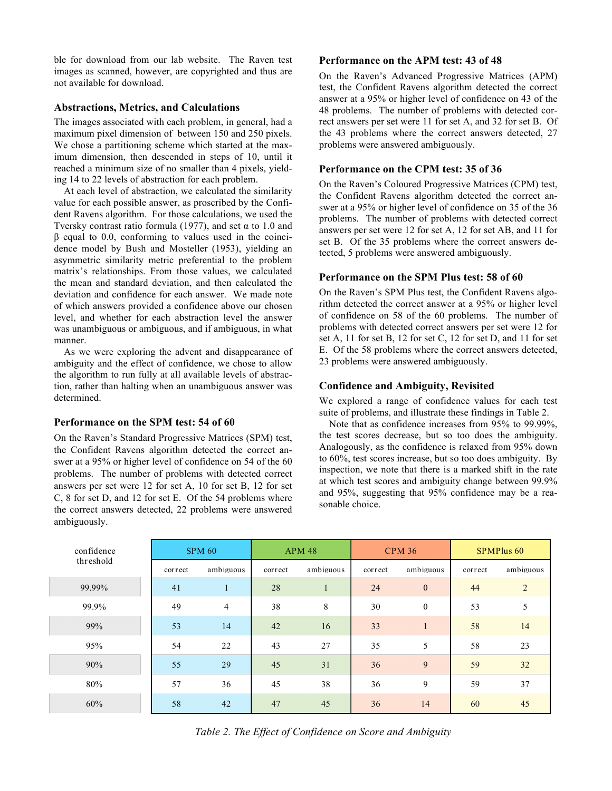ble for download from our lab website. The Raven test images as scanned, however, are copyrighted and thus are not available for download.

### **Abstractions, Metrics, and Calculations**

The images associated with each problem, in general, had a maximum pixel dimension of between 150 and 250 pixels. We chose a partitioning scheme which started at the maximum dimension, then descended in steps of 10, until it reached a minimum size of no smaller than 4 pixels, yielding 14 to 22 levels of abstraction for each problem.

At each level of abstraction, we calculated the similarity value for each possible answer, as proscribed by the Confident Ravens algorithm. For those calculations, we used the Tversky contrast ratio formula (1977), and set  $\alpha$  to 1.0 and β equal to 0.0, conforming to values used in the coincidence model by Bush and Mosteller (1953), yielding an asymmetric similarity metric preferential to the problem matrix's relationships. From those values, we calculated the mean and standard deviation, and then calculated the deviation and confidence for each answer. We made note of which answers provided a confidence above our chosen level, and whether for each abstraction level the answer was unambiguous or ambiguous, and if ambiguous, in what manner.

As we were exploring the advent and disappearance of ambiguity and the effect of confidence, we chose to allow the algorithm to run fully at all available levels of abstraction, rather than halting when an unambiguous answer was determined.

### **Performance on the SPM test: 54 of 60**

On the Raven's Standard Progressive Matrices (SPM) test, the Confident Ravens algorithm detected the correct answer at a 95% or higher level of confidence on 54 of the 60 problems. The number of problems with detected correct answers per set were 12 for set A, 10 for set B, 12 for set C, 8 for set D, and 12 for set E. Of the 54 problems where the correct answers detected, 22 problems were answered ambiguously.

### **Performance on the APM test: 43 of 48**

On the Raven's Advanced Progressive Matrices (APM) test, the Confident Ravens algorithm detected the correct answer at a 95% or higher level of confidence on 43 of the 48 problems. The number of problems with detected correct answers per set were 11 for set A, and 32 for set B. Of the 43 problems where the correct answers detected, 27 problems were answered ambiguously.

### **Performance on the CPM test: 35 of 36**

On the Raven's Coloured Progressive Matrices (CPM) test, the Confident Ravens algorithm detected the correct answer at a 95% or higher level of confidence on 35 of the 36 problems. The number of problems with detected correct answers per set were 12 for set A, 12 for set AB, and 11 for set B. Of the 35 problems where the correct answers detected, 5 problems were answered ambiguously.

### **Performance on the SPM Plus test: 58 of 60**

On the Raven's SPM Plus test, the Confident Ravens algorithm detected the correct answer at a 95% or higher level of confidence on 58 of the 60 problems. The number of problems with detected correct answers per set were 12 for set A, 11 for set B, 12 for set C, 12 for set D, and 11 for set E. Of the 58 problems where the correct answers detected, 23 problems were answered ambiguously.

# **Confidence and Ambiguity, Revisited**

We explored a range of confidence values for each test suite of problems, and illustrate these findings in Table 2.

Note that as confidence increases from 95% to 99.99%, the test scores decrease, but so too does the ambiguity. Analogously, as the confidence is relaxed from 95% down to 60%, test scores increase, but so too does ambiguity. By inspection, we note that there is a marked shift in the rate at which test scores and ambiguity change between 99.9% and 95%, suggesting that 95% confidence may be a reasonable choice.

| confidence | <b>SPM 60</b> |                | <b>APM 48</b> |           | <b>CPM 36</b> |              | <b>SPMPlus 60</b> |                |
|------------|---------------|----------------|---------------|-----------|---------------|--------------|-------------------|----------------|
| threshold  | correct       | ambiguous      | correct       | ambiguous | correct       | ambiguous    | correct           | ambiguous      |
| 99.99%     | 41            | 1              | 28            |           | 24            | $\mathbf{0}$ | 44                | $\overline{2}$ |
| 99.9%      | 49            | $\overline{4}$ | 38            | 8         | 30            | $\mathbf{0}$ | 53                | 5              |
| 99%        | 53            | 14             | 42            | 16        | 33            |              | 58                | 14             |
| 95%        | 54            | 22             | 43            | 27        | 35            | 5            | 58                | 23             |
| 90%        | 55            | 29             | 45            | 31        | 36            | 9            | 59                | 32             |
| 80%        | 57            | 36             | 45            | 38        | 36            | 9            | 59                | 37             |
| 60%        | 58            | 42             | 47            | 45        | 36            | 14           | 60                | 45             |

*Table 2. The Effect of Confidence on Score and Ambiguity*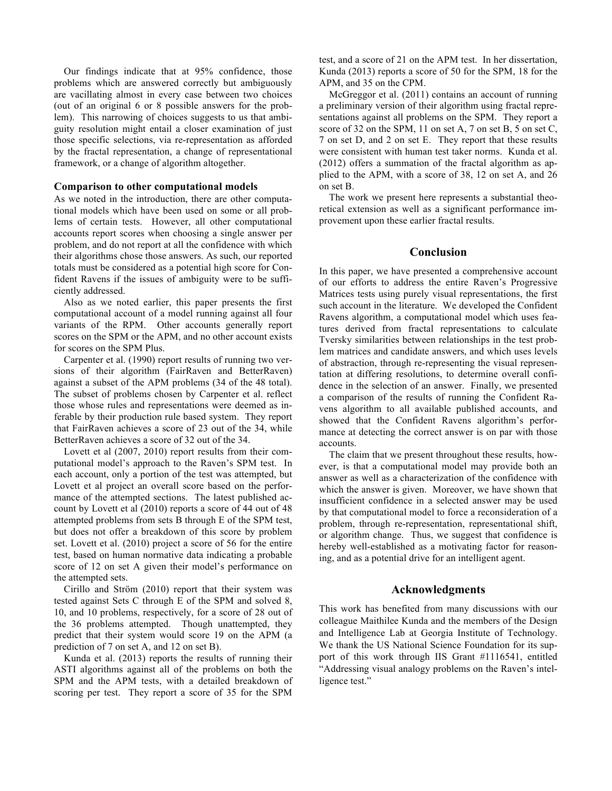Our findings indicate that at 95% confidence, those problems which are answered correctly but ambiguously are vacillating almost in every case between two choices (out of an original 6 or 8 possible answers for the problem). This narrowing of choices suggests to us that ambiguity resolution might entail a closer examination of just those specific selections, via re-representation as afforded by the fractal representation, a change of representational framework, or a change of algorithm altogether.

#### **Comparison to other computational models**

As we noted in the introduction, there are other computational models which have been used on some or all problems of certain tests. However, all other computational accounts report scores when choosing a single answer per problem, and do not report at all the confidence with which their algorithms chose those answers. As such, our reported totals must be considered as a potential high score for Confident Ravens if the issues of ambiguity were to be sufficiently addressed.

Also as we noted earlier, this paper presents the first computational account of a model running against all four variants of the RPM. Other accounts generally report scores on the SPM or the APM, and no other account exists for scores on the SPM Plus.

Carpenter et al. (1990) report results of running two versions of their algorithm (FairRaven and BetterRaven) against a subset of the APM problems (34 of the 48 total). The subset of problems chosen by Carpenter et al. reflect those whose rules and representations were deemed as inferable by their production rule based system. They report that FairRaven achieves a score of 23 out of the 34, while BetterRaven achieves a score of 32 out of the 34.

Lovett et al (2007, 2010) report results from their computational model's approach to the Raven's SPM test. In each account, only a portion of the test was attempted, but Lovett et al project an overall score based on the performance of the attempted sections. The latest published account by Lovett et al (2010) reports a score of 44 out of 48 attempted problems from sets B through E of the SPM test, but does not offer a breakdown of this score by problem set. Lovett et al. (2010) project a score of 56 for the entire test, based on human normative data indicating a probable score of 12 on set A given their model's performance on the attempted sets.

Cirillo and Ström (2010) report that their system was tested against Sets C through E of the SPM and solved 8, 10, and 10 problems, respectively, for a score of 28 out of the 36 problems attempted. Though unattempted, they predict that their system would score 19 on the APM (a prediction of 7 on set A, and 12 on set B).

Kunda et al. (2013) reports the results of running their ASTI algorithms against all of the problems on both the SPM and the APM tests, with a detailed breakdown of scoring per test. They report a score of 35 for the SPM

test, and a score of 21 on the APM test. In her dissertation, Kunda (2013) reports a score of 50 for the SPM, 18 for the APM, and 35 on the CPM.

McGreggor et al. (2011) contains an account of running a preliminary version of their algorithm using fractal representations against all problems on the SPM. They report a score of 32 on the SPM, 11 on set A, 7 on set B, 5 on set C, 7 on set D, and 2 on set E. They report that these results were consistent with human test taker norms. Kunda et al. (2012) offers a summation of the fractal algorithm as applied to the APM, with a score of 38, 12 on set A, and 26 on set B.

The work we present here represents a substantial theoretical extension as well as a significant performance improvement upon these earlier fractal results.

### **Conclusion**

In this paper, we have presented a comprehensive account of our efforts to address the entire Raven's Progressive Matrices tests using purely visual representations, the first such account in the literature. We developed the Confident Ravens algorithm, a computational model which uses features derived from fractal representations to calculate Tversky similarities between relationships in the test problem matrices and candidate answers, and which uses levels of abstraction, through re-representing the visual representation at differing resolutions, to determine overall confidence in the selection of an answer. Finally, we presented a comparison of the results of running the Confident Ravens algorithm to all available published accounts, and showed that the Confident Ravens algorithm's performance at detecting the correct answer is on par with those accounts.

The claim that we present throughout these results, however, is that a computational model may provide both an answer as well as a characterization of the confidence with which the answer is given. Moreover, we have shown that insufficient confidence in a selected answer may be used by that computational model to force a reconsideration of a problem, through re-representation, representational shift, or algorithm change. Thus, we suggest that confidence is hereby well-established as a motivating factor for reasoning, and as a potential drive for an intelligent agent.

### **Acknowledgments**

This work has benefited from many discussions with our colleague Maithilee Kunda and the members of the Design and Intelligence Lab at Georgia Institute of Technology. We thank the US National Science Foundation for its support of this work through IIS Grant #1116541, entitled "Addressing visual analogy problems on the Raven's intelligence test."